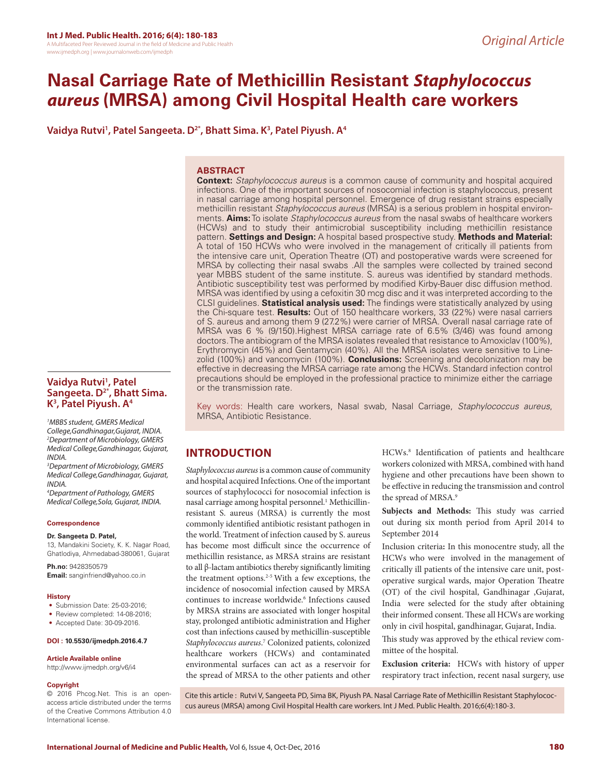# **Nasal Carriage Rate of Methicillin Resistant** *Staphylococcus aureus* **(MRSA) among Civil Hospital Health care workers**

**Vaidya Rutvi1 , Patel Sangeeta. D2\*, Bhatt Sima. K3 , Patel Piyush. A4**

## **ABSTRACT**

**Context:** *Staphylococcus aureus* is a common cause of community and hospital acquired infections. One of the important sources of nosocomial infection is staphylococcus, present in nasal carriage among hospital personnel. Emergence of drug resistant strains especially methicillin resistant *Staphylococcus aureus* (MRSA) is a serious problem in hospital environments. **Aims:** To isolate *Staphylococcus aureus* from the nasal swabs of healthcare workers (HCWs) and to study their antimicrobial susceptibility including methicillin resistance pattern. **Settings and Design:** A hospital based prospective study. **Methods and Material:** A total of 150 HCWs who were involved in the management of critically ill patients from the intensive care unit, Operation Theatre (OT) and postoperative wards were screened for MRSA by collecting their nasal swabs .All the samples were collected by trained second year MBBS student of the same institute. S. aureus was identified by standard methods. Antibiotic susceptibility test was performed by modified Kirby-Bauer disc diffusion method. MRSA was identified by using a cefoxitin 30 mcg disc and it was interpreted according to the CLSI guidelines. **Statistical analysis used:** The findings were statistically analyzed by using the Chi-square test. **Results:** Out of 150 healthcare workers, 33 (22%) were nasal carriers of S. aureus and among them 9 (27.2%) were carrier of MRSA. Overall nasal carriage rate of MRSA was 6 % (9/150).Highest MRSA carriage rate of 6.5% (3/46) was found among doctors. The antibiogram of the MRSA isolates revealed that resistance to Amoxiclav (100%), Erythromycin (45%) and Gentamycin (40%). All the MRSA isolates were sensitive to Linezolid (100%) and vancomycin (100%). **Conclusions:** Screening and decolonization may be effective in decreasing the MRSA carriage rate among the HCWs. Standard infection control precautions should be employed in the professional practice to minimize either the carriage or the transmission rate.

Key words: Health care workers, Nasal swab, Nasal Carriage, *Staphylococcus aureus*, MRSA, Antibiotic Resistance.

# **INTRODUCTION**

*Staphylococcus aureus* is a common cause of community and hospital acquired Infections. One of the important sources of staphylococci for nosocomial infection is nasal carriage among hospital personnel.<sup>1</sup> Methicillinresistant S. aureus (MRSA) is currently the most commonly identified antibiotic resistant pathogen in the world. Treatment of infection caused by S. aureus has become most difficult since the occurrence of methicillin resistance, as MRSA strains are resistant to all β-lactam antibiotics thereby significantly limiting the treatment options. $2-5$  With a few exceptions, the incidence of nosocomial infection caused by MRSA continues to increase worldwide.<sup>6</sup> Infections caused by MRSA strains are associated with longer hospital stay, prolonged antibiotic administration and Higher cost than infections caused by methicillin-susceptible *Staphylococcus aureus*. 7 Colonized patients, colonized healthcare workers (HCWs) and contaminated environmental surfaces can act as a reservoir for the spread of MRSA to the other patients and other

HCWs.8 Identification of patients and healthcare workers colonized with MRSA, combined with hand hygiene and other precautions have been shown to be effective in reducing the transmission and control the spread of MRSA.9

**Subjects and Methods:** This study was carried out during six month period from April 2014 to September 2014

Inclusion criteria**:** In this monocentre study, all the HCWs who were involved in the management of critically ill patients of the intensive care unit, postoperative surgical wards, major Operation Theatre (OT) of the civil hospital, Gandhinagar ,Gujarat, India were selected for the study after obtaining their informed consent. These all HCWs are working only in civil hospital, gandhinagar, Gujarat, India.

This study was approved by the ethical review committee of the hospital.

**Exclusion criteria:** HCWs with history of upper respiratory tract infection, recent nasal surgery, use

Cite this article : Rutvi V, Sangeeta PD, Sima BK, Piyush PA. Nasal Carriage Rate of Methicillin Resistant Staphylococcus aureus (MRSA) among Civil Hospital Health care workers. Int J Med. Public Health. 2016;6(4):180-3.

# **Vaidya Rutvi1 , Patel Sangeeta. D2\*, Bhatt Sima. K3 , Patel Piyush. A4**

*1 MBBS student, GMERS Medical College,Gandhinagar,Gujarat, INDIA. 2 Department of Microbiology, GMERS Medical College,Gandhinagar, Gujarat, INDIA.*

*3 Department of Microbiology, GMERS Medical College,Gandhinagar, Gujarat, INDIA.*

*4 Department of Pathology, GMERS Medical College,Sola, Gujarat, INDIA.*

#### **Correspondence**

## **Dr. Sangeeta D. Patel,**

13, Mandakini Society, K. K. Nagar Road, Ghatlodiya, Ahmedabad-380061, Gujarat

**Ph.no:** 9428350579 **Email:** sanginfriend@yahoo.co.in

#### **History**

- Submission Date: 25-03-2016;
- Review completed: 14-08-2016;
- Accepted Date: 30-09-2016.

### **DOI : 10.5530/ijmedph.2016.4.7**

#### **Article Available online**

http://www.ijmedph.org/v6/i4

#### **Copyright**

© 2016 Phcog.Net. This is an openaccess article distributed under the terms of the Creative Commons Attribution 4.0 International license.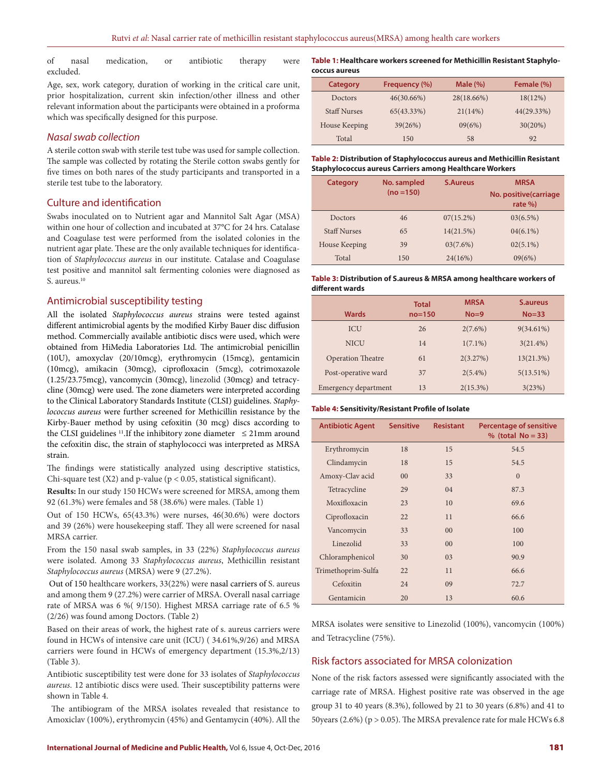of nasal medication, or antibiotic therapy were excluded.

Age, sex, work category, duration of working in the critical care unit, prior hospitalization, current skin infection/other illness and other relevant information about the participants were obtained in a proforma which was specifically designed for this purpose.

## *Nasal swab collection*

A sterile cotton swab with sterile test tube was used for sample collection. The sample was collected by rotating the Sterile cotton swabs gently for five times on both nares of the study participants and transported in a sterile test tube to the laboratory.

## Culture and identification

Swabs inoculated on to Nutrient agar and Mannitol Salt Agar (MSA) within one hour of collection and incubated at 37°C for 24 hrs. Catalase and Coagulase test were performed from the isolated colonies in the nutrient agar plate. These are the only available techniques for identification of *Staphylococcus aureus* in our institute. Catalase and Coagulase test positive and mannitol salt fermenting colonies were diagnosed as S. aureus.<sup>10</sup>

## Antimicrobial susceptibility testing

All the isolated *Staphylococcus aureus* strains were tested against different antimicrobial agents by the modified Kirby Bauer disc diffusion method. Commercially available antibiotic discs were used, which were obtained from HiMedia Laboratories Ltd. The antimicrobial penicillin (10U), amoxyclav (20/10mcg), erythromycin (15mcg), gentamicin (10mcg), amikacin (30mcg), ciprofloxacin (5mcg), cotrimoxazole (1.25/23.75mcg), vancomycin (30mcg), linezolid (30mcg) and tetracycline (30mcg) were used. The zone diameters were interpreted according to the Clinical Laboratory Standards Institute (CLSI) guidelines. *Staphylococcus aureus* were further screened for Methicillin resistance by the Kirby-Bauer method by using cefoxitin (30 mcg) discs according to the CLSI guidelines <sup>11</sup>. If the inhibitory zone diameter  $\leq$  21mm around the cefoxitin disc, the strain of staphylococci was interpreted as MRSA strain.

The findings were statistically analyzed using descriptive statistics, Chi-square test  $(X2)$  and p-value ( $p < 0.05$ , statistical significant).

**Results:** In our study 150 HCWs were screened for MRSA, among them 92 (61.3%) were females and 58 (38.6%) were males. (Table 1)

Out of 150 HCWs, 65(43.3%) were nurses, 46(30.6%) were doctors and 39 (26%) were housekeeping staff. They all were screened for nasal MRSA carrier.

From the 150 nasal swab samples, in 33 (22%) *Staphylococcus aureus* were isolated. Among 33 *Staphylococcus aureus*, Methicillin resistant *Staphylococcus aureus* (MRSA) were 9 (27.2%).

 Out of 150 healthcare workers, 33(22%) were nasal carriers of S. aureus and among them 9 (27.2%) were carrier of MRSA. Overall nasal carriage rate of MRSA was 6 %( 9/150). Highest MRSA carriage rate of 6.5 % (2/26) was found among Doctors. (Table 2)

Based on their areas of work, the highest rate of s. aureus carriers were found in HCWs of intensive care unit (ICU) ( 34.61%,9/26) and MRSA carriers were found in HCWs of emergency department (15.3%,2/13) (Table 3).

Antibiotic susceptibility test were done for 33 isolates of *Staphylococcus aureus*. 12 antibiotic discs were used. Their susceptibility patterns were shown in Table 4.

 The antibiogram of the MRSA isolates revealed that resistance to Amoxiclav (100%), erythromycin (45%) and Gentamycin (40%). All the **Table 1: Healthcare workers screened for Methicillin Resistant Staphylococcus aureus**

| <b>Category</b>     | Frequency (%) | Male $(\% )$ | Female (%) |
|---------------------|---------------|--------------|------------|
| Doctors             | $46(30.66\%)$ | 28(18.66%)   | 18(12%)    |
| <b>Staff Nurses</b> | 65(43.33%)    | 21(14%)      | 44(29.33%) |
| House Keeping       | 39(26%)       | 09(6%)       | 30(20%)    |
| Total               | 150           | 58           | 92         |

| Table 2: Distribution of Staphylococcus aureus and Methicillin Resistant |
|--------------------------------------------------------------------------|
| <b>Staphylococcus aureus Carriers among Healthcare Workers</b>           |

| Category            | No. sampled<br>$(no = 150)$ | <b>S.Aureus</b> | <b>MRSA</b><br>No. positive (carriage<br>rate $%$ |
|---------------------|-----------------------------|-----------------|---------------------------------------------------|
| Doctors             | 46                          | 07(15.2%)       | 03(6.5%)                                          |
| <b>Staff Nurses</b> | 65                          | 14(21.5%)       | $04(6.1\%)$                                       |
| House Keeping       | 39                          | 03(7.6%)        | $02(5.1\%)$                                       |
| Total               | 150                         | 24(16%)         | 09(6%)                                            |

## **Table 3: Distribution of S.aureus & MRSA among healthcare workers of different wards**

|                          | <b>Total</b> | <b>MRSA</b> | S.aureus     |
|--------------------------|--------------|-------------|--------------|
| <b>Wards</b>             | $no=150$     | $No = 9$    | $No = 33$    |
| <b>ICU</b>               | 26           | $2(7.6\%)$  | $9(34.61\%)$ |
| <b>NICU</b>              | 14           | $1(7.1\%)$  | $3(21.4\%)$  |
| <b>Operation Theatre</b> | 61           | 2(3.27%)    | 13(21.3%)    |
| Post-operative ward      | 37           | $2(5.4\%)$  | $5(13.51\%)$ |
| Emergency department     | 13           | 2(15.3%)    | 3(23%)       |

#### **Table 4: Sensitivity/Resistant Profile of Isolate**

| <b>Antibiotic Agent</b> | <b>Sensitive</b> | <b>Resistant</b> | <b>Percentage of sensitive</b><br>% (total $No = 33$ ) |
|-------------------------|------------------|------------------|--------------------------------------------------------|
| Erythromycin            | 18               | 15               | 54.5                                                   |
| Clindamycin             | 18               | 15               | 54.5                                                   |
| Amoxy-Clav acid         | 0 <sup>0</sup>   | 33               | $\mathbf{0}$                                           |
| Tetracycline            | 29               | 04               | 87.3                                                   |
| Moxifloxacin            | 23               | 10               | 69.6                                                   |
| Ciprofloxacin           | 22               | 11               | 66.6                                                   |
| Vancomycin              | 33               | 00               | 100                                                    |
| Linezolid               | 33               | 0 <sub>0</sub>   | 100                                                    |
| Chloramphenicol         | 30               | 0 <sub>3</sub>   | 90.9                                                   |
| Trimethoprim-Sulfa      | 22               | 11               | 66.6                                                   |
| Cefoxitin               | 24               | 09               | 72.7                                                   |
| Gentamicin              | 20               | 13               | 60.6                                                   |

MRSA isolates were sensitive to Linezolid (100%), vancomycin (100%) and Tetracycline (75%).

## Risk factors associated for MRSA colonization

None of the risk factors assessed were significantly associated with the carriage rate of MRSA. Highest positive rate was observed in the age group 31 to 40 years (8.3%), followed by 21 to 30 years (6.8%) and 41 to 50years (2.6%) (p > 0.05). The MRSA prevalence rate for male HCWs 6.8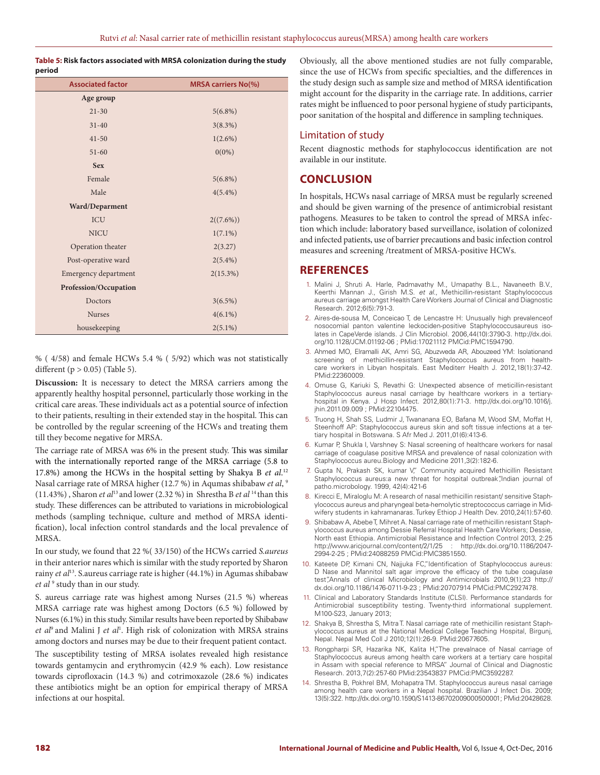## **Table 5: Risk factors associated with MRSA colonization during the study period**

| <b>Associated factor</b> | <b>MRSA carriers No(%)</b> |
|--------------------------|----------------------------|
| Age group                |                            |
| $21 - 30$                | $5(6.8\%)$                 |
| $31 - 40$                | 3(8.3%)                    |
| $41 - 50$                | $1(2.6\%)$                 |
| $51 - 60$                | $0(0\%)$                   |
| <b>Sex</b>               |                            |
| Female                   | $5(6.8\%)$                 |
| Male                     | $4(5.4\%)$                 |
| Ward/Deparment           |                            |
| ICU                      | 2((7.6%))                  |
| <b>NICU</b>              | $1(7.1\%)$                 |
| Operation theater        | 2(3.27)                    |
| Post-operative ward      | $2(5.4\%)$                 |
| Emergency department     | 2(15.3%)                   |
| Profession/Occupation    |                            |
| Doctors                  | $3(6.5\%)$                 |
| <b>Nurses</b>            | $4(6.1\%)$                 |
| housekeeping             | $2(5.1\%)$                 |

% ( 4/58) and female HCWs 5.4 % ( 5/92) which was not statistically different ( $p > 0.05$ ) (Table 5).

**Discussion:** It is necessary to detect the MRSA carriers among the apparently healthy hospital personnel, particularly those working in the critical care areas. These individuals act as a potential source of infection to their patients, resulting in their extended stay in the hospital. This can be controlled by the regular screening of the HCWs and treating them till they become negative for MRSA.

The carriage rate of MRSA was 6% in the present study. This was similar with the internationally reported range of the MRSA carriage (5.8 to 17.8%) among the HCWs in the hospital setting by Shakya B *et al*. 12 Nasal carriage rate of MRSA higher (12.7 %) in Aqumas shibabaw *et al*, 9 (11.43%) , Sharon *et al*13 and lower (2.32 %) in Shrestha B *et al* 14 than this study. These differences can be attributed to variations in microbiological methods (sampling technique, culture and method of MRSA identification), local infection control standards and the local prevalence of MRSA.

In our study, we found that 22 %( 33/150) of the HCWs carried *S.aureus*  in their anterior nares which is similar with the study reported by Sharon rainy *et al*13. S.aureus carriage rate is higher (44.1%) in Agumas shibabaw *et al* <sup>9</sup> study than in our study.

S. aureus carriage rate was highest among Nurses (21.5 %) whereas MRSA carriage rate was highest among Doctors (6.5 %) followed by Nurses (6.1%) in this study. Similar results have been reported by Shibabaw *et al*9 and Malini J *et al*<sup>1</sup> . High risk of colonization with MRSA strains among doctors and nurses may be due to their frequent patient contact. The susceptibility testing of MRSA isolates revealed high resistance towards gentamycin and erythromycin (42.9 % each). Low resistance towards ciprofloxacin (14.3 %) and cotrimoxazole (28.6 %) indicates these antibiotics might be an option for empirical therapy of MRSA infections at our hospital.

Obviously, all the above mentioned studies are not fully comparable, since the use of HCWs from specific specialties, and the differences in the study design such as sample size and method of MRSA identification might account for the disparity in the carriage rate. In additions, carrier rates might be influenced to poor personal hygiene of study participants, poor sanitation of the hospital and difference in sampling techniques.

## Limitation of study

Recent diagnostic methods for staphylococcus identification are not available in our institute.

# **CONCLUSION**

In hospitals, HCWs nasal carriage of MRSA must be regularly screened and should be given warning of the presence of antimicrobial resistant pathogens. Measures to be taken to control the spread of MRSA infection which include: laboratory based surveillance, isolation of colonized and infected patients, use of barrier precautions and basic infection control measures and screening /treatment of MRSA-positive HCWs.

# **REFERENCES**

- 1. Malini J, Shruti A. Harle, Padmavathy M., Umapathy B.L., Navaneeth B.V., Keerthi Mannan J., Girish M.S. *et al*., Methicillin-resistant Staphylococcus aureus carriage amongst Health Care Workers Journal of Clinical and Diagnostic Research. 2012;6(5):791-3.
- 2. Aires-de-sousa M, Conceicao T, de Lencastre H: Unusually high prevalenceof nosocomial panton valentine leckociden-positive Staphylococcusaureus isolates in CapeVerde islands. J Clin Microbiol. 2006,44(10):3790-3. http://dx.doi. org/10.1128/JCM.01192-06 ; PMid:17021112 PMCid:PMC1594790.
- 3. Ahmed MO, Elramalli AK, Amri SG, Abuzweda AR, Abouzeed YM: Isolationand screening of methicillin-resistant Staphylococcus aureus from healthcare workers in Libyan hospitals. East Mediterr Health J. 2012,18(1):37-42. PMid:22360009.
- 4. Omuse G, Kariuki S, Revathi G: Unexpected absence of meticillin-resistant Staphylococcus aureus nasal carriage by healthcare workers in a tertiaryhospital in Kenya. J Hosp Infect. 2012,80(1):71-3. http://dx.doi.org/10.1016/j. jhin.2011.09.009 ; PMid:22104475.
- 5. Truong H, Shah SS, Ludmir J, Twananana EO, Bafana M, Wood SM, Moffat H, Steenhoff AP: Staphylococcus aureus skin and soft tissue infections at a tertiary hospital in Botswana. S Afr Med J. 2011,01(6):413-6.
- 6. Kumar P, Shukla I, Varshney S: Nasal screening of healthcare workers for nasal carriage of coagulase positive MRSA and prevalence of nasal colonization with Staphylococcus aureu.Biology and Medicine 2011,3(2):182-6.
- 7. Gupta N, Prakash SK, kumar V," Community acquired Methicillin Resistant Staphylococcus aureus:a new threat for hospital outbreak",Indian journal of patho.microbology. 1999, 42(4):421-6
- 8. Kirecci E, Miraloglu M: A research of nasal methicillin resistant/ sensitive Staphylococcus aureus and pharyngeal beta-hemolytic streptococcus carriage in Midwifery students in kahramanaras. Turkey Ethiop J Health Dev. 2010,24(1):57-60.
- 9. Shibabaw A, Abebe T, Mihret A. Nasal carriage rate of methicillin resistant Staphylococcus aureus among Dessie Referral Hospital Health Care Workers; Dessie, North east Ethiopia. Antimicrobial Resistance and Infection Control 2013, 2:25 http://www.aricjournal.com/content/2/1/25 : http://dx.doi.org/10.1186/2047- 2994-2-25 ; PMid:24088259 PMCid:PMC3851550.
- 10. Kateete DP, Kimani CN, Najjuka FC,"Identification of Staphylococcus aureus: D Nase and Mannitol salt agar improve the efficacy of the tube coagulase test",Annals of clinical Microbiology and Antimicrobials 2010,9(1);23 http:// dx.doi.org/10.1186/1476-0711-9-23 ; PMid:20707914 PMCid:PMC2927478.
- 11. Clinical and Laboratory Standards Institute (CLSI). Performance standards for Antimicrobial susceptibility testing. Twenty-third informational supplement. M100-S23, January 2013;
- 12. Shakya B, Shrestha S, Mitra T. Nasal carriage rate of methicillin resistant Staphylococcus aureus at the National Medical College Teaching Hospital, Birgunj, Nepal. Nepal Med Coll J 2010;12(1):26-9. PMid:20677605.
- 13. Rongpharpi SR, Hazarika NK, Kalita H,"The prevalnace of Nasal carriage of Staphylococcus aureus among health care workers at a tertiary care hospital in Assam with special reference to MRSA" Journal of Clinical and Diagnostic Research. 2013,7(2):257-60 PMid:23543837 PMCid:PMC3592287.
- 14. Shrestha B, Pokhrel BM, Mohapatra TM. Staphylococcus aureus nasal carriage among health care workers in a Nepal hospital. Brazilian J Infect Dis. 2009; 13(5):322. http://dx.doi.org/10.1590/S1413-86702009000500001; PMid:20428628.